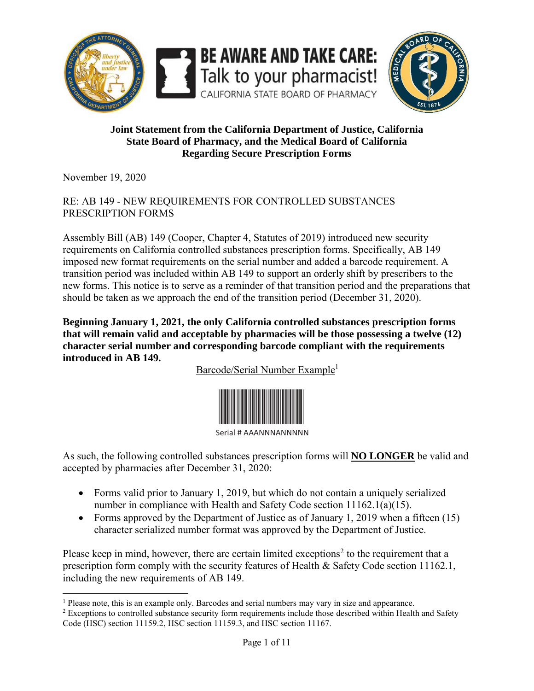



#### **Joint Statement from the California Department of Justice, California State Board of Pharmacy, and the Medical Board of California Regarding Secure Prescription Forms**

November 19, 2020

#### RE: AB 149 - NEW REQUIREMENTS FOR CONTROLLED SUBSTANCES PRESCRIPTION FORMS

Assembly Bill (AB) 149 (Cooper, Chapter 4, Statutes of 2019) introduced new security requirements on California controlled substances prescription forms. Specifically, AB 149 imposed new format requirements on the serial number and added a barcode requirement. A transition period was included within AB 149 to support an orderly shift by prescribers to the new forms. This notice is to serve as a reminder of that transition period and the preparations that should be taken as we approach the end of the transition period (December 31, 2020).

**Beginning January 1, 2021, the only California controlled substances prescription forms that will remain valid and acceptable by pharmacies will be those possessing a twelve (12) character serial number and corresponding barcode compliant with the requirements introduced in AB 149.** 

Barcode/Serial Number Example<sup>1</sup>



Serial # AAANNNANNNNN

As such, the following controlled substances prescription forms will **NO LONGER** be valid and accepted by pharmacies after December 31, 2020:

- Forms valid prior to January 1, 2019, but which do not contain a uniquely serialized number in compliance with Health and Safety Code section 11162.1(a)(15).
- Forms approved by the Department of Justice as of January 1, 2019 when a fifteen (15) character serialized number format was approved by the Department of Justice.

Please keep in mind, however, there are certain limited exceptions<sup>2</sup> to the requirement that a prescription form comply with the security features of Health & Safety Code section 11162.1, including the new requirements of AB 149.

 $\overline{\phantom{a}}$ <sup>1</sup> Please note, this is an example only. Barcodes and serial numbers may vary in size and appearance.

<sup>&</sup>lt;sup>2</sup> Exceptions to controlled substance security form requirements include those described within Health and Safety Code (HSC) section 11159.2, HSC section 11159.3, and HSC section 11167.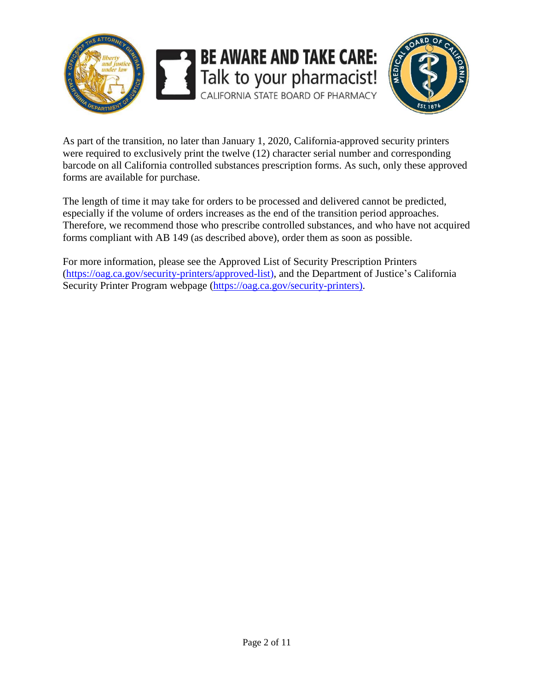



As part of the transition, no later than January 1, 2020, California-approved security printers were required to exclusively print the twelve (12) character serial number and corresponding barcode on all California controlled substances prescription forms. As such, only these approved forms are available for purchase.

The length of time it may take for orders to be processed and delivered cannot be predicted, especially if the volume of orders increases as the end of the transition period approaches. Therefore, we recommend those who prescribe controlled substances, and who have not acquired forms compliant with AB 149 (as described above), order them as soon as possible.

For more information, please see the Approved List of Security Prescription Printers [\(https://oag.ca.gov/security-printers/approved-list\)](https://oag.ca.gov/security-printers/approved-list), and the Department of Justice's California Security Printer Program webpage [\(https://oag.ca.gov/security-printers\)](https://oag.ca.gov/security-printers).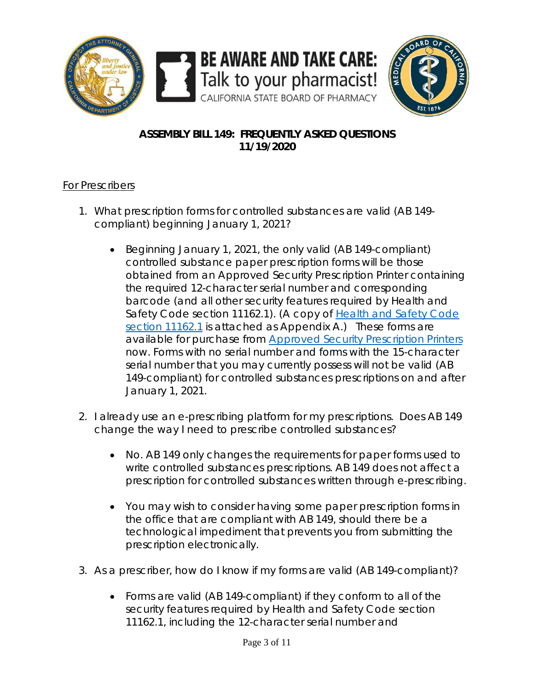

# **ASSEMBLY BILL 149: FREQUENTLY ASKED QUESTIONS 11/19/2020**

## For Prescribers

- 1. What prescription forms for controlled substances are valid (AB 149 compliant) beginning January 1, 2021?
	- Beginning January 1, 2021, the only valid (AB 149-compliant) controlled substance paper prescription forms will be those obtained from an Approved Security Prescription Printer containing the required 12-character serial number and corresponding barcode (and all other security features required by Health and Safety Code section 11162.1). (A copy of Health and Safety Code [section 11162.1](https://leginfo.legislature.ca.gov/faces/codes_displaySection.xhtml?sectionNum=11162.1.&lawCode=HSC) is attached as Appendix A.) These forms are available for purchase from [Approved Security Prescription Printers](https://oag.ca.gov/security-printers/approved-list) now. Forms with no serial number and forms with the 15-character serial number that you may currently possess will not be valid (AB 149-compliant) for controlled substances prescriptions on and after January 1, 2021.
- 2. I already use an e-prescribing platform for my prescriptions. Does AB 149 change the way I need to prescribe controlled substances?
	- No. AB 149 only changes the requirements for paper forms used to write controlled substances prescriptions. AB 149 does not affect a prescription for controlled substances written through e-prescribing.
	- You may wish to consider having some paper prescription forms in the office that are compliant with AB 149, should there be a technological impediment that prevents you from submitting the prescription electronically.
- 3. As a prescriber, how do I know if my forms are valid (AB 149-compliant)?
	- Forms are valid (AB 149-compliant) if they conform to all of the security features required by [Health and Safety Code section](https://leginfo.legislature.ca.gov/faces/codes_displaySection.xhtml?sectionNum=11162.1.&lawCode=HSC)  [11162.1,](https://leginfo.legislature.ca.gov/faces/codes_displaySection.xhtml?sectionNum=11162.1.&lawCode=HSC) including the 12-character serial number and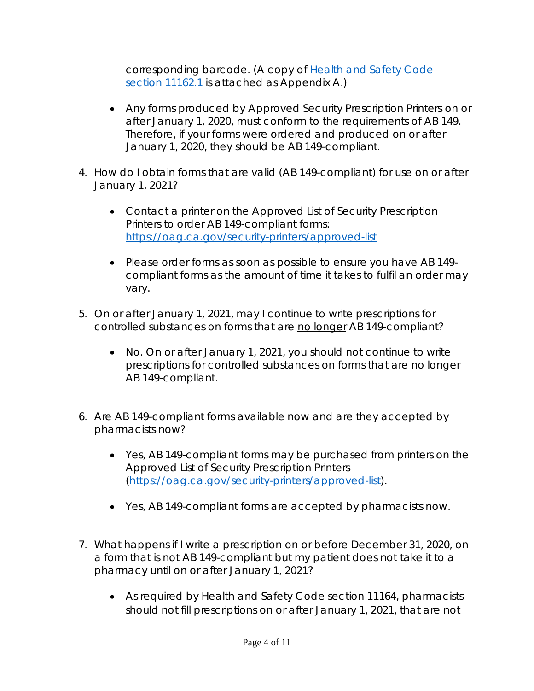corresponding barcode. (A copy of [Health and Safety Code](https://leginfo.legislature.ca.gov/faces/codes_displaySection.xhtml?sectionNum=11162.1.&lawCode=HSC)  [section 11162.1](https://leginfo.legislature.ca.gov/faces/codes_displaySection.xhtml?sectionNum=11162.1.&lawCode=HSC) is attached as Appendix A.)

- Any forms produced by Approved Security Prescription Printers on or after January 1, 2020, must conform to the requirements of AB 149. Therefore, if your forms were ordered and produced on or after January 1, 2020, they should be AB 149-compliant.
- 4. How do I obtain forms that are valid (AB 149-compliant) for use on or after January 1, 2021?
	- Contact a printer on the Approved List of Security Prescription Printers to order AB 149-compliant forms: <https://oag.ca.gov/security-printers/approved-list>
	- Please order forms as soon as possible to ensure you have AB 149 compliant forms as the amount of time it takes to fulfil an order may vary.
- 5. On or after January 1, 2021, may I continue to write prescriptions for controlled substances on forms that are no longer AB 149-compliant?
	- No. On or after January 1, 2021, you should not continue to write prescriptions for controlled substances on forms that are no longer AB 149-compliant.
- 6. Are AB 149-compliant forms available now and are they accepted by pharmacists now?
	- Yes, AB 149-compliant forms may be purchased from printers on the Approved List of Security Prescription Printers [\(https://oag.ca.gov/security-printers/approved-list\)](https://oag.ca.gov/security-printers/approved-list).
	- Yes, AB 149-compliant forms are accepted by pharmacists now.
- 7. What happens if I write a prescription on or before December 31, 2020, on a form that is not AB 149-compliant but my patient does not take it to a pharmacy until on or after January 1, 2021?
	- As required by Health and Safety Code section 11164, pharmacists should not fill prescriptions on or after January 1, 2021, that are not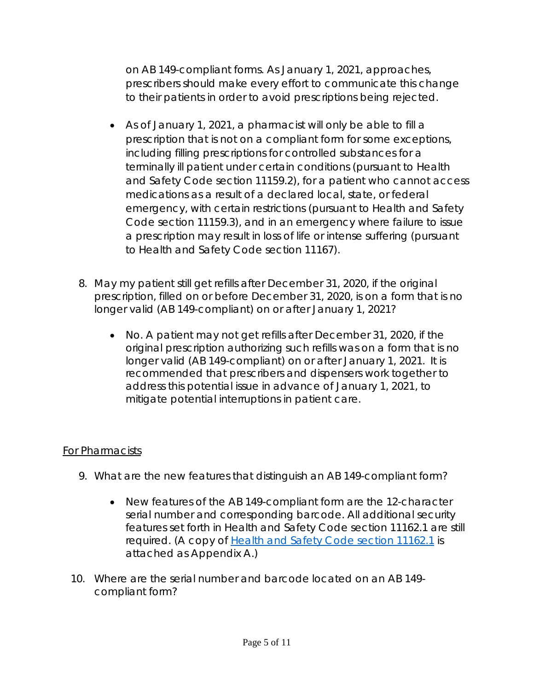on AB 149-compliant forms. As January 1, 2021, approaches, prescribers should make every effort to communicate this change to their patients in order to avoid prescriptions being rejected.

- As of January 1, 2021, a pharmacist will only be able to fill a prescription that is not on a compliant form for some exceptions, including filling prescriptions for controlled substances for a terminally ill patient under certain conditions (pursuant to Health and Safety Code section 11159.2), for a patient who cannot access medications as a result of a declared local, state, or federal emergency, with certain restrictions (pursuant to Health and Safety Code section 11159.3), and in an emergency where failure to issue a prescription may result in loss of life or intense suffering (pursuant to Health and Safety Code section 11167).
- 8. May my patient still get refills after December 31, 2020, if the original prescription, filled on or before December 31, 2020, is on a form that is no longer valid (AB 149-compliant) on or after January 1, 2021?
	- No. A patient may not get refills after December 31, 2020, if the original prescription authorizing such refills was on a form that is no longer valid (AB 149-compliant) on or after January 1, 2021. It is recommended that prescribers and dispensers work together to address this potential issue in advance of January 1, 2021, to mitigate potential interruptions in patient care.

## For Pharmacists

- 9. What are the new features that distinguish an AB 149-compliant form?
	- New features of the AB 149-compliant form are the 12-character serial number and corresponding barcode. All additional security features set forth in [Health and Safety Code section 11162.1](https://leginfo.legislature.ca.gov/faces/codes_displaySection.xhtml?sectionNum=11162.1.&lawCode=HSC) are still required. (A copy of [Health and Safety Code section 11162.1](https://leginfo.legislature.ca.gov/faces/codes_displaySection.xhtml?sectionNum=11162.1.&lawCode=HSC) is attached as Appendix A.)
- 10. Where are the serial number and barcode located on an AB 149 compliant form?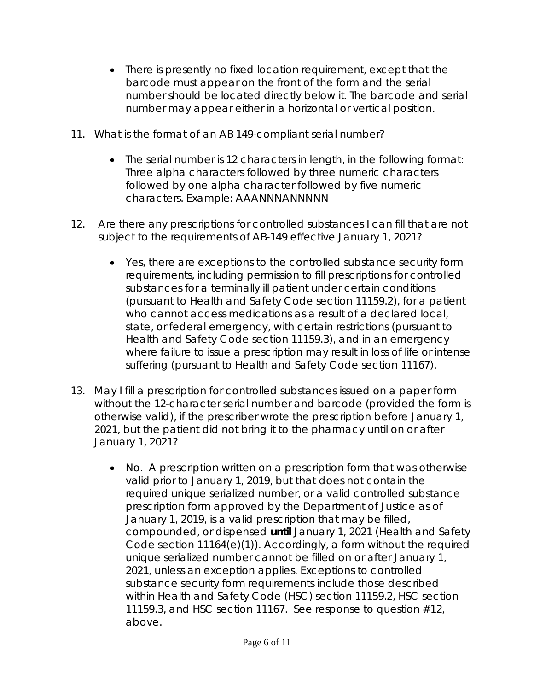- There is presently no fixed location requirement, except that the barcode must appear on the front of the form and the serial number should be located directly below it. The barcode and serial number may appear either in a horizontal or vertical position.
- 11. What is the format of an AB 149-compliant serial number?
	- The serial number is 12 characters in length, in the following format: Three alpha characters followed by three numeric characters followed by one alpha character followed by five numeric characters. Example: AAANNNANNNNN
- 12. Are there any prescriptions for controlled substances I can fill that are not subject to the requirements of AB-149 effective January 1, 2021?
	- Yes, there are exceptions to the controlled substance security form requirements, including permission to fill prescriptions for controlled substances for a terminally ill patient under certain conditions (pursuant to Health and Safety Code section 11159.2), for a patient who cannot access medications as a result of a declared local, state, or federal emergency, with certain restrictions (pursuant to Health and Safety Code section 11159.3), and in an emergency where failure to issue a prescription may result in loss of life or intense suffering (pursuant to Health and Safety Code section 11167).
- 13. May I fill a prescription for controlled substances issued on a paper form without the 12-character serial number and barcode (provided the form is otherwise valid), if the prescriber wrote the prescription before January 1, 2021, but the patient did not bring it to the pharmacy until on or after January 1, 2021?
	- No. A prescription written on a prescription form that was otherwise valid prior to January 1, 2019, but that does not contain the required unique serialized number, or a valid controlled substance prescription form approved by the Department of Justice as of January 1, 2019, is a valid prescription that may be filled, compounded, or dispensed **until** January 1, 2021 (Health and Safety Code section 11164(e)(1)). Accordingly, a form without the required unique serialized number cannot be filled on or after January 1, 2021, unless an exception applies. Exceptions to controlled substance security form requirements include those described within Health and Safety Code (HSC) section 11159.2, HSC section 11159.3, and HSC section 11167. See response to question #12, above.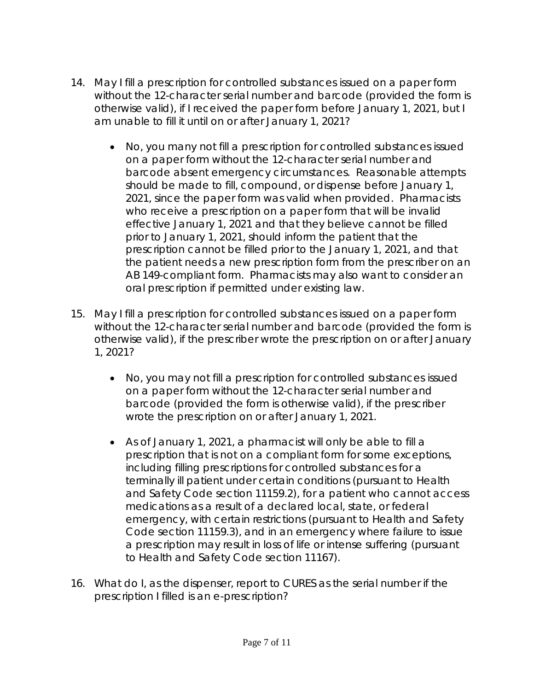- 14. May I fill a prescription for controlled substances issued on a paper form without the 12-character serial number and barcode (provided the form is otherwise valid), if I received the paper form before January 1, 2021, but I am unable to fill it until on or after January 1, 2021?
	- No, you many not fill a prescription for controlled substances issued on a paper form without the 12-character serial number and barcode absent emergency circumstances. Reasonable attempts should be made to fill, compound, or dispense before January 1, 2021, since the paper form was valid when provided. Pharmacists who receive a prescription on a paper form that will be invalid effective January 1, 2021 and that they believe cannot be filled prior to January 1, 2021, should inform the patient that the prescription cannot be filled prior to the January 1, 2021, and that the patient needs a new prescription form from the prescriber on an AB 149-compliant form. Pharmacists may also want to consider an oral prescription if permitted under existing law.
- 15. May I fill a prescription for controlled substances issued on a paper form without the 12-character serial number and barcode (provided the form is otherwise valid), if the prescriber wrote the prescription on or after January 1, 2021?
	- No, you may not fill a prescription for controlled substances issued on a paper form without the 12-character serial number and barcode (provided the form is otherwise valid), if the prescriber wrote the prescription on or after January 1, 2021.
	- As of January 1, 2021, a pharmacist will only be able to fill a prescription that is not on a compliant form for some exceptions, including filling prescriptions for controlled substances for a terminally ill patient under certain conditions (pursuant to Health and Safety Code section 11159.2), for a patient who cannot access medications as a result of a declared local, state, or federal emergency, with certain restrictions (pursuant to Health and Safety Code section 11159.3), and in an emergency where failure to issue a prescription may result in loss of life or intense suffering (pursuant to Health and Safety Code section 11167).
- 16. What do I, as the dispenser, report to CURES as the serial number if the prescription I filled is an e-prescription?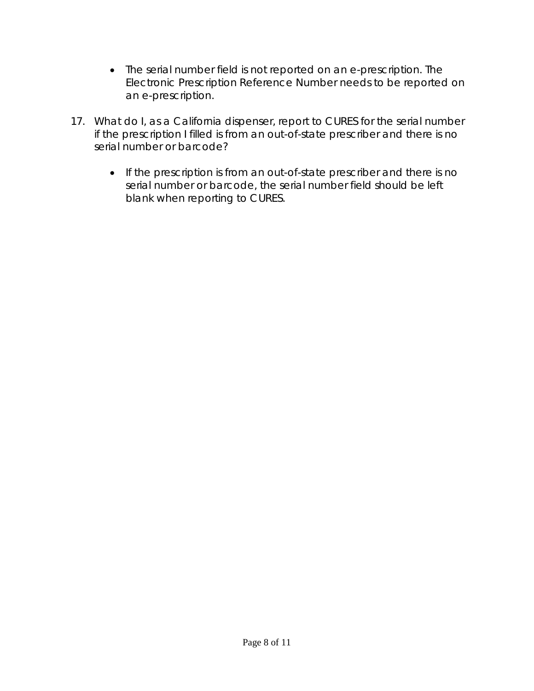- The serial number field is not reported on an e-prescription. The Electronic Prescription Reference Number needs to be reported on an e-prescription.
- 17. What do I, as a California dispenser, report to CURES for the serial number if the prescription I filled is from an out-of-state prescriber and there is no serial number or barcode?
	- If the prescription is from an out-of-state prescriber and there is no serial number or barcode, the serial number field should be left blank when reporting to CURES.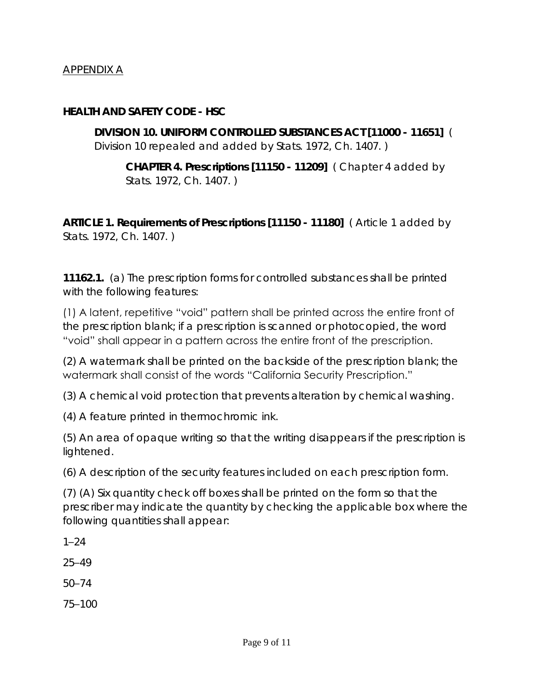## APPENDIX A

**HEALTH AND SAFETY CODE - HSC**

**DIVISION 10. UNIFORM CONTROLLED SUBSTANCES ACT [11000 - 11651]** *( Division 10 repealed and added by Stats. 1972, Ch. 1407. )*

**CHAPTER 4. Prescriptions [11150 - 11209]** *( Chapter 4 added by Stats. 1972, Ch. 1407. )*

**ARTICLE 1. Requirements of Prescriptions [11150 - 11180]** *( Article 1 added by Stats. 1972, Ch. 1407. )*

**11162.1.** (a) The prescription forms for controlled substances shall be printed with the following features:

(1) A latent, repetitive "void" pattern shall be printed across the entire front of the prescription blank; if a prescription is scanned or photocopied, the word "void" shall appear in a pattern across the entire front of the prescription.

(2) A watermark shall be printed on the backside of the prescription blank; the watermark shall consist of the words "California Security Prescription."

(3) A chemical void protection that prevents alteration by chemical washing.

(4) A feature printed in thermochromic ink.

(5) An area of opaque writing so that the writing disappears if the prescription is lightened.

(6) A description of the security features included on each prescription form.

(7) (A) Six quantity check off boxes shall be printed on the form so that the prescriber may indicate the quantity by checking the applicable box where the following quantities shall appear:

1–24

25–49

50–74

75–100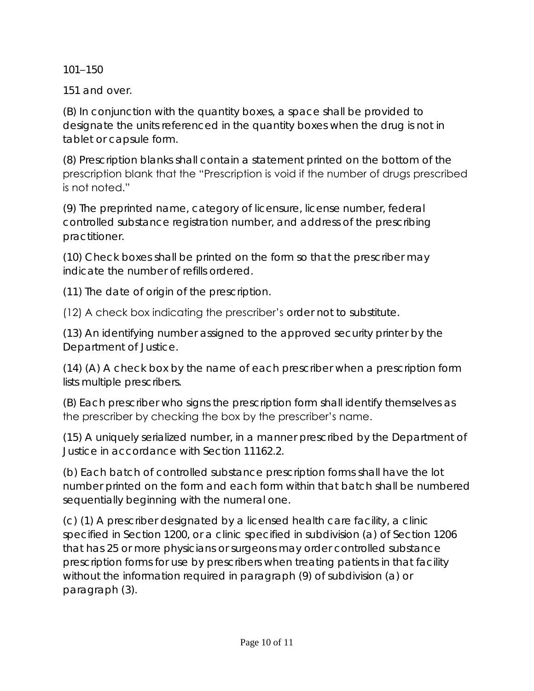101–150

151 and over.

(B) In conjunction with the quantity boxes, a space shall be provided to designate the units referenced in the quantity boxes when the drug is not in tablet or capsule form.

(8) Prescription blanks shall contain a statement printed on the bottom of the prescription blank that the "Prescription is void if the number of drugs prescribed is not noted."

(9) The preprinted name, category of licensure, license number, federal controlled substance registration number, and address of the prescribing practitioner.

(10) Check boxes shall be printed on the form so that the prescriber may indicate the number of refills ordered.

(11) The date of origin of the prescription.

(12) A check box indicating the prescriber's order not to substitute.

(13) An identifying number assigned to the approved security printer by the Department of Justice.

(14) (A) A check box by the name of each prescriber when a prescription form lists multiple prescribers.

(B) Each prescriber who signs the prescription form shall identify themselves as the prescriber by checking the box by the prescriber's name.

(15) A uniquely serialized number, in a manner prescribed by the Department of Justice in accordance with Section 11162.2.

(b) Each batch of controlled substance prescription forms shall have the lot number printed on the form and each form within that batch shall be numbered sequentially beginning with the numeral one.

(c) (1) A prescriber designated by a licensed health care facility, a clinic specified in Section 1200, or a clinic specified in subdivision (a) of Section 1206 that has 25 or more physicians or surgeons may order controlled substance prescription forms for use by prescribers when treating patients in that facility without the information required in paragraph (9) of subdivision (a) or paragraph (3).